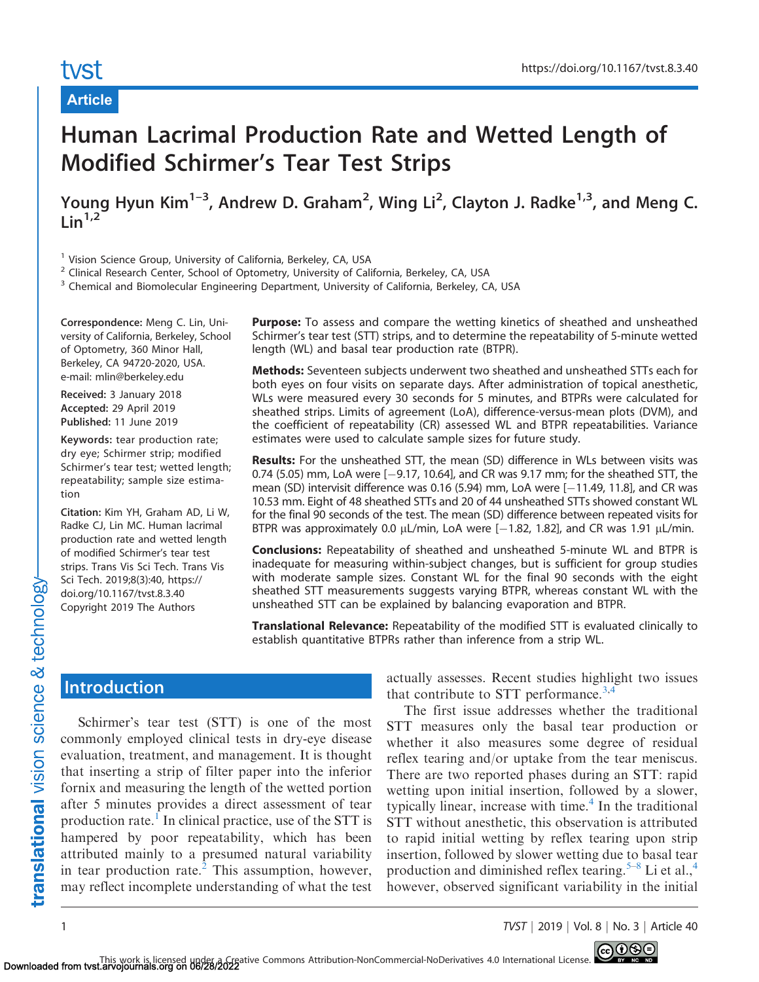#### Article

# Human Lacrimal Production Rate and Wetted Length of Modified Schirmer's Tear Test Strips

Young Hyun Kim<sup>1-3</sup>, Andrew D. Graham<sup>2</sup>, Wing Li<sup>2</sup>, Clayton J. Radke<sup>1,3</sup>, and Meng C.  $Lin<sup>1,2</sup>$ 

<sup>1</sup> Vision Science Group, University of California, Berkeley, CA, USA

<sup>2</sup> Clinical Research Center, School of Optometry, University of California, Berkeley, CA, USA

<sup>3</sup> Chemical and Biomolecular Engineering Department, University of California, Berkeley, CA, USA

Correspondence: Meng C. Lin, University of California, Berkeley, School of Optometry, 360 Minor Hall, Berkeley, CA 94720-2020, USA. e-mail: mlin@berkeley.edu

Received: 3 January 2018 Accepted: 29 April 2019 Published: 11 June 2019

Keywords: tear production rate; dry eye; Schirmer strip; modified Schirmer's tear test; wetted length; repeatability; sample size estimation

Citation: Kim YH, Graham AD, Li W, Radke CJ, Lin MC. Human lacrimal production rate and wetted length of modified Schirmer's tear test strips. Trans Vis Sci Tech. Trans Vis Sci Tech. 2019;8(3):40, https:// doi.org/10.1167/tvst.8.3.40 Copyright 2019 The Authors

**Purpose:** To assess and compare the wetting kinetics of sheathed and unsheathed Schirmer's tear test (STT) strips, and to determine the repeatability of 5-minute wetted length (WL) and basal tear production rate (BTPR).

Methods: Seventeen subjects underwent two sheathed and unsheathed STTs each for both eyes on four visits on separate days. After administration of topical anesthetic, WLs were measured every 30 seconds for 5 minutes, and BTPRs were calculated for sheathed strips. Limits of agreement (LoA), difference-versus-mean plots (DVM), and the coefficient of repeatability (CR) assessed WL and BTPR repeatabilities. Variance estimates were used to calculate sample sizes for future study.

**Results:** For the unsheathed STT, the mean (SD) difference in WLs between visits was 0.74 (5.05) mm, LoA were [-9.17, 10.64], and CR was 9.17 mm; for the sheathed STT, the mean (SD) intervisit difference was 0.16 (5.94) mm, LoA were [-11.49, 11.8], and CR was 10.53 mm. Eight of 48 sheathed STTs and 20 of 44 unsheathed STTs showed constant WL for the final 90 seconds of the test. The mean (SD) difference between repeated visits for BTPR was approximately 0.0  $\mu$ L/min, LoA were [-1.82, 1.82], and CR was 1.91  $\mu$ L/min.

Conclusions: Repeatability of sheathed and unsheathed 5-minute WL and BTPR is inadequate for measuring within-subject changes, but is sufficient for group studies with moderate sample sizes. Constant WL for the final 90 seconds with the eight sheathed STT measurements suggests varying BTPR, whereas constant WL with the unsheathed STT can be explained by balancing evaporation and BTPR.

Translational Relevance: Repeatability of the modified STT is evaluated clinically to establish quantitative BTPRs rather than inference from a strip WL.

## **Introduction**

Schirmer's tear test (STT) is one of the most commonly employed clinical tests in dry-eye disease evaluation, treatment, and management. It is thought that inserting a strip of filter paper into the inferior fornix and measuring the length of the wetted portion after 5 minutes provides a direct assessment of tear production rate.<sup>[1](#page-8-0)</sup> In clinical practice, use of the STT is hampered by poor repeatability, which has been attributed mainly to a presumed natural variability in tear production rate. ${}^{2}$  ${}^{2}$  ${}^{2}$  This assumption, however, may reflect incomplete understanding of what the test actually assesses. Recent studies highlight two issues that contribute to STT performance.<sup>3,4</sup>

The first issue addresses whether the traditional STT measures only the basal tear production or whether it also measures some degree of residual reflex tearing and/or uptake from the tear meniscus. There are two reported phases during an STT: rapid wetting upon initial insertion, followed by a slower, typically linear, increase with time.<sup>4</sup> In the traditional STT without anesthetic, this observation is attributed to rapid initial wetting by reflex tearing upon strip insertion, followed by slower wetting due to basal tear production and diminished reflex tearing.<sup>5–8</sup> Li et al.,<sup>4</sup> however, observed significant variability in the initial

1 TVST j 2019 j Vol. 8 j No. 3 j Article 40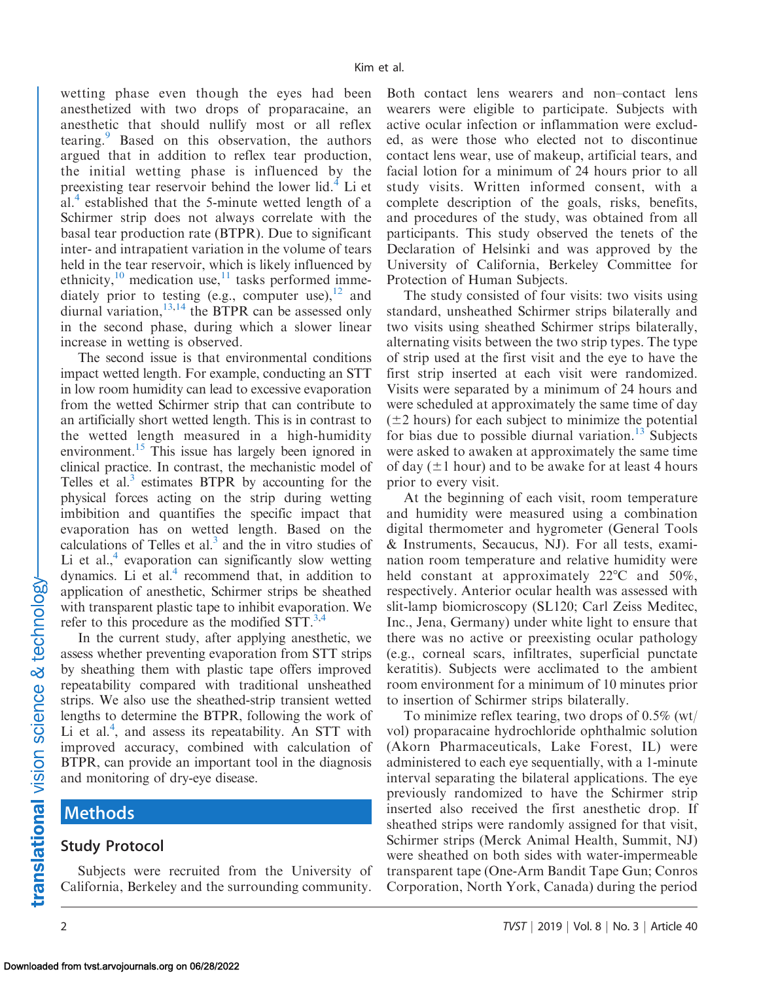wetting phase even though the eyes had been anesthetized with two drops of proparacaine, an anesthetic that should nullify most or all reflex tearing.<sup>[9](#page-8-0)</sup> Based on this observation, the authors argued that in addition to reflex tear production, the initial wetting phase is influenced by the preexisting tear reservoir behind the lower lid.<sup>4</sup> Li et al.<sup>[4](#page-8-0)</sup> established that the 5-minute wetted length of a Schirmer strip does not always correlate with the basal tear production rate (BTPR). Due to significant inter- and intrapatient variation in the volume of tears held in the tear reservoir, which is likely influenced by ethnicity, $10$  medication use, $11$  tasks performed immediately prior to testing (e.g., computer use), $12$  and diurnal variation,  $^{13,14}$  $^{13,14}$  $^{13,14}$  the BTPR can be assessed only in the second phase, during which a slower linear increase in wetting is observed.

The second issue is that environmental conditions impact wetted length. For example, conducting an STT in low room humidity can lead to excessive evaporation from the wetted Schirmer strip that can contribute to an artificially short wetted length. This is in contrast to the wetted length measured in a high-humidity environment.<sup>15</sup> This issue has largely been ignored in clinical practice. In contrast, the mechanistic model of Telles et al.<sup>[3](#page-8-0)</sup> estimates BTPR by accounting for the physical forces acting on the strip during wetting imbibition and quantifies the specific impact that evaporation has on wetted length. Based on the calculations of Telles et al. $<sup>3</sup>$  and the in vitro studies of</sup> Li et al.,  $4$  evaporation can significantly slow wetting dynamics. Li et al. $4$  recommend that, in addition to application of anesthetic, Schirmer strips be sheathed with transparent plastic tape to inhibit evaporation. We refer to this procedure as the modified  $STT$ .<sup>3,4</sup>

In the current study, after applying anesthetic, we assess whether preventing evaporation from STT strips by sheathing them with plastic tape offers improved repeatability compared with traditional unsheathed strips. We also use the sheathed-strip transient wetted lengths to determine the BTPR, following the work of Li et al.<sup>[4](#page-8-0)</sup>, and assess its repeatability. An STT with improved accuracy, combined with calculation of BTPR, can provide an important tool in the diagnosis and monitoring of dry-eye disease.

#### Methods

#### Study Protocol

Subjects were recruited from the University of California, Berkeley and the surrounding community.

Both contact lens wearers and non–contact lens wearers were eligible to participate. Subjects with active ocular infection or inflammation were excluded, as were those who elected not to discontinue contact lens wear, use of makeup, artificial tears, and facial lotion for a minimum of 24 hours prior to all study visits. Written informed consent, with a complete description of the goals, risks, benefits, and procedures of the study, was obtained from all participants. This study observed the tenets of the Declaration of Helsinki and was approved by the University of California, Berkeley Committee for Protection of Human Subjects.

The study consisted of four visits: two visits using standard, unsheathed Schirmer strips bilaterally and two visits using sheathed Schirmer strips bilaterally, alternating visits between the two strip types. The type of strip used at the first visit and the eye to have the first strip inserted at each visit were randomized. Visits were separated by a minimum of 24 hours and were scheduled at approximately the same time of day  $(\pm 2$  hours) for each subject to minimize the potential for bias due to possible diurnal variation.<sup>[13](#page-9-0)</sup> Subjects were asked to awaken at approximately the same time of day  $(\pm 1$  hour) and to be awake for at least 4 hours prior to every visit.

At the beginning of each visit, room temperature and humidity were measured using a combination digital thermometer and hygrometer (General Tools & Instruments, Secaucus, NJ). For all tests, examination room temperature and relative humidity were held constant at approximately  $22^{\circ}$ C and  $50\%$ , respectively. Anterior ocular health was assessed with slit-lamp biomicroscopy (SL120; Carl Zeiss Meditec, Inc., Jena, Germany) under white light to ensure that there was no active or preexisting ocular pathology (e.g., corneal scars, infiltrates, superficial punctate keratitis). Subjects were acclimated to the ambient room environment for a minimum of 10 minutes prior to insertion of Schirmer strips bilaterally.

To minimize reflex tearing, two drops of 0.5% (wt/ vol) proparacaine hydrochloride ophthalmic solution (Akorn Pharmaceuticals, Lake Forest, IL) were administered to each eye sequentially, with a 1-minute interval separating the bilateral applications. The eye previously randomized to have the Schirmer strip inserted also received the first anesthetic drop. If sheathed strips were randomly assigned for that visit, Schirmer strips (Merck Animal Health, Summit, NJ) were sheathed on both sides with water-impermeable transparent tape (One-Arm Bandit Tape Gun; Conros Corporation, North York, Canada) during the period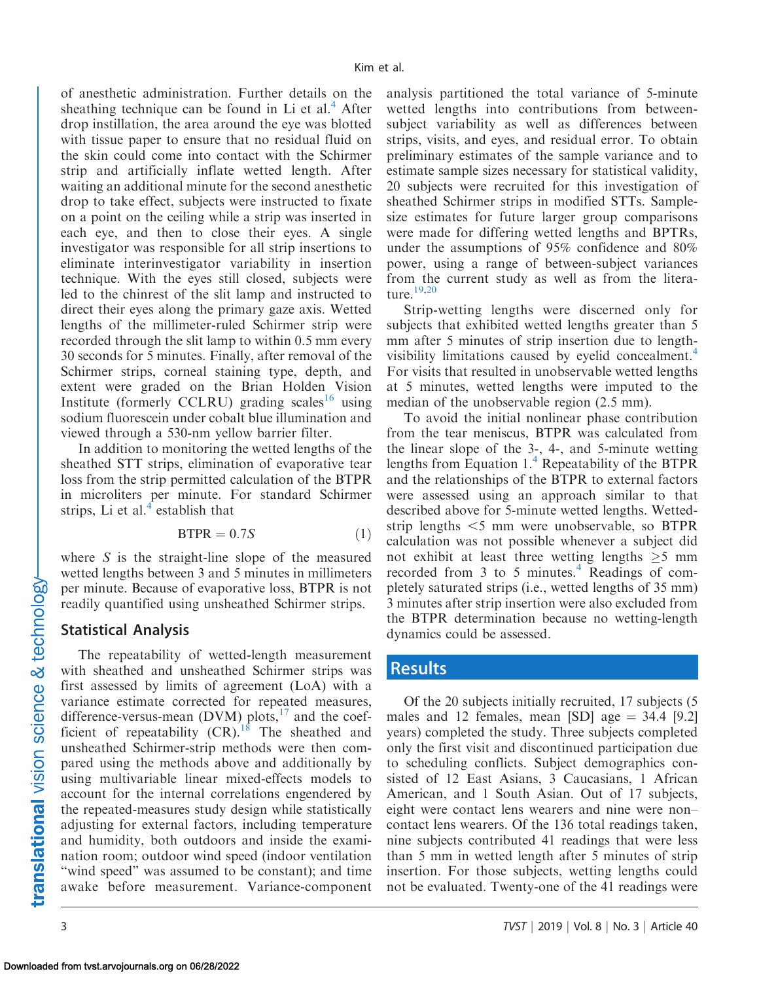of anesthetic administration. Further details on the sheathing technique can be found in Li et al. $4$  After drop instillation, the area around the eye was blotted with tissue paper to ensure that no residual fluid on the skin could come into contact with the Schirmer strip and artificially inflate wetted length. After waiting an additional minute for the second anesthetic drop to take effect, subjects were instructed to fixate on a point on the ceiling while a strip was inserted in each eye, and then to close their eyes. A single investigator was responsible for all strip insertions to eliminate interinvestigator variability in insertion technique. With the eyes still closed, subjects were led to the chinrest of the slit lamp and instructed to direct their eyes along the primary gaze axis. Wetted lengths of the millimeter-ruled Schirmer strip were recorded through the slit lamp to within 0.5 mm every 30 seconds for 5 minutes. Finally, after removal of the Schirmer strips, corneal staining type, depth, and extent were graded on the Brian Holden Vision Institute (formerly CCLRU) grading scales<sup>[16](#page-9-0)</sup> using sodium fluorescein under cobalt blue illumination and viewed through a 530-nm yellow barrier filter.

In addition to monitoring the wetted lengths of the sheathed STT strips, elimination of evaporative tear loss from the strip permitted calculation of the BTPR in microliters per minute. For standard Schirmer strips, Li et al. $4$  establish that

$$
BTPR = 0.7S \tag{1}
$$

where  $S$  is the straight-line slope of the measured wetted lengths between 3 and 5 minutes in millimeters per minute. Because of evaporative loss, BTPR is not readily quantified using unsheathed Schirmer strips.

#### Statistical Analysis

The repeatability of wetted-length measurement with sheathed and unsheathed Schirmer strips was first assessed by limits of agreement (LoA) with a variance estimate corrected for repeated measures, difference-versus-mean (DVM) plots, $^{17}$  and the coefficient of repeatability  $(CR)$ .<sup>[18](#page-9-0)</sup> The sheathed and unsheathed Schirmer-strip methods were then compared using the methods above and additionally by using multivariable linear mixed-effects models to account for the internal correlations engendered by the repeated-measures study design while statistically adjusting for external factors, including temperature and humidity, both outdoors and inside the examination room; outdoor wind speed (indoor ventilation "wind speed" was assumed to be constant); and time awake before measurement. Variance-component

analysis partitioned the total variance of 5-minute wetted lengths into contributions from betweensubject variability as well as differences between strips, visits, and eyes, and residual error. To obtain preliminary estimates of the sample variance and to estimate sample sizes necessary for statistical validity, 20 subjects were recruited for this investigation of sheathed Schirmer strips in modified STTs. Samplesize estimates for future larger group comparisons were made for differing wetted lengths and BPTRs, under the assumptions of 95% confidence and 80% power, using a range of between-subject variances from the current study as well as from the literature.[19,20](#page-9-0)

Strip-wetting lengths were discerned only for subjects that exhibited wetted lengths greater than 5 mm after 5 minutes of strip insertion due to lengthvisibility limitations caused by evelid concealment.<sup>4</sup> For visits that resulted in unobservable wetted lengths at 5 minutes, wetted lengths were imputed to the median of the unobservable region (2.5 mm).

To avoid the initial nonlinear phase contribution from the tear meniscus, BTPR was calculated from the linear slope of the 3-, 4-, and 5-minute wetting lengths from Equation  $1<sup>4</sup>$  $1<sup>4</sup>$  $1<sup>4</sup>$  Repeatability of the BTPR and the relationships of the BTPR to external factors were assessed using an approach similar to that described above for 5-minute wetted lengths. Wettedstrip lengths  $\leq$ 5 mm were unobservable, so BTPR calculation was not possible whenever a subject did not exhibit at least three wetting lengths  $\geq 5$  mm recorded from 3 to 5 minutes. $4$  Readings of completely saturated strips (i.e., wetted lengths of 35 mm) 3 minutes after strip insertion were also excluded from the BTPR determination because no wetting-length dynamics could be assessed.

#### Results

Of the 20 subjects initially recruited, 17 subjects (5 males and 12 females, mean  $[SD]$  age  $=$  34.4  $[9.2]$ years) completed the study. Three subjects completed only the first visit and discontinued participation due to scheduling conflicts. Subject demographics consisted of 12 East Asians, 3 Caucasians, 1 African American, and 1 South Asian. Out of 17 subjects, eight were contact lens wearers and nine were non– contact lens wearers. Of the 136 total readings taken, nine subjects contributed 41 readings that were less than 5 mm in wetted length after 5 minutes of strip insertion. For those subjects, wetting lengths could not be evaluated. Twenty-one of the 41 readings were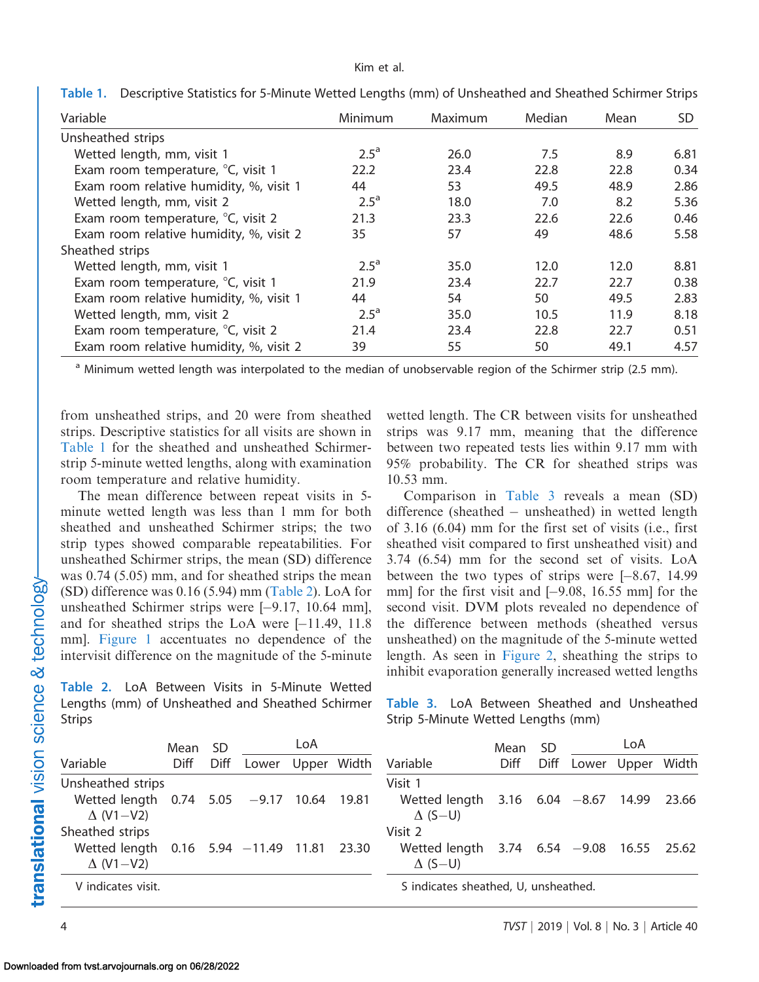#### Kim et al.

| Variable                                | Minimum       | Maximum | Median | Mean | SD   |
|-----------------------------------------|---------------|---------|--------|------|------|
| Unsheathed strips                       |               |         |        |      |      |
| Wetted length, mm, visit 1              | $2.5^{\circ}$ | 26.0    | 7.5    | 8.9  | 6.81 |
| Exam room temperature, °C, visit 1      | 22.2          | 23.4    | 22.8   | 22.8 | 0.34 |
| Exam room relative humidity, %, visit 1 | 44            | 53      | 49.5   | 48.9 | 2.86 |
| Wetted length, mm, visit 2              | $2.5^{\circ}$ | 18.0    | 7.0    | 8.2  | 5.36 |
| Exam room temperature, °C, visit 2      | 21.3          | 23.3    | 22.6   | 22.6 | 0.46 |
| Exam room relative humidity, %, visit 2 | 35            | 57      | 49     | 48.6 | 5.58 |
| Sheathed strips                         |               |         |        |      |      |
| Wetted length, mm, visit 1              | $2.5^{\circ}$ | 35.0    | 12.0   | 12.0 | 8.81 |
| Exam room temperature, °C, visit 1      | 21.9          | 23.4    | 22.7   | 22.7 | 0.38 |
| Exam room relative humidity, %, visit 1 | 44            | 54      | 50     | 49.5 | 2.83 |
| Wetted length, mm, visit 2              | $2.5^{\circ}$ | 35.0    | 10.5   | 11.9 | 8.18 |
| Exam room temperature, °C, visit 2      | 21.4          | 23.4    | 22.8   | 22.7 | 0.51 |
| Exam room relative humidity, %, visit 2 | 39            | 55      | 50     | 49.1 | 4.57 |

Table 1. Descriptive Statistics for 5-Minute Wetted Lengths (mm) of Unsheathed and Sheathed Schirmer Strips

<sup>a</sup> Minimum wetted length was interpolated to the median of unobservable region of the Schirmer strip (2.5 mm).

from unsheathed strips, and 20 were from sheathed strips. Descriptive statistics for all visits are shown in Table 1 for the sheathed and unsheathed Schirmerstrip 5-minute wetted lengths, along with examination room temperature and relative humidity.

The mean difference between repeat visits in 5 minute wetted length was less than 1 mm for both sheathed and unsheathed Schirmer strips; the two strip types showed comparable repeatabilities. For unsheathed Schirmer strips, the mean (SD) difference was 0.74 (5.05) mm, and for sheathed strips the mean (SD) difference was 0.16 (5.94) mm (Table 2). LoA for unsheathed Schirmer strips were [-9.17, 10.64 mm], and for sheathed strips the LoA were [-11.49, 11.8 mm]. [Figure 1](#page-4-0) accentuates no dependence of the intervisit difference on the magnitude of the 5-minute

Table 2. LoA Between Visits in 5-Minute Wetted Lengths (mm) of Unsheathed and Sheathed Schirmer Strips

wetted length. The CR between visits for unsheathed strips was 9.17 mm, meaning that the difference between two repeated tests lies within 9.17 mm with 95% probability. The CR for sheathed strips was 10.53 mm.

Comparison in Table 3 reveals a mean (SD) difference (sheathed – unsheathed) in wetted length of 3.16 (6.04) mm for the first set of visits (i.e., first sheathed visit compared to first unsheathed visit) and 3.74 (6.54) mm for the second set of visits. LoA between the two types of strips were  $[-8.67, 14.99]$ mm] for the first visit and [-9.08, 16.55 mm] for the second visit. DVM plots revealed no dependence of the difference between methods (sheathed versus unsheathed) on the magnitude of the 5-minute wetted length. As seen in [Figure 2](#page-5-0), sheathing the strips to inhibit evaporation generally increased wetted lengths

Table 3. LoA Between Sheathed and Unsheathed Strip 5-Minute Wetted Lengths (mm)

|                                                                | Mean | - SD |                   | LoA |                                                                 | Mean | SD.  | LoA |                   |  |
|----------------------------------------------------------------|------|------|-------------------|-----|-----------------------------------------------------------------|------|------|-----|-------------------|--|
| Variable                                                       | Diff | Diff | Lower Upper Width |     | Variable                                                        | Diff | Diff |     | Lower Upper Width |  |
| Unsheathed strips                                              |      |      |                   |     | Visit 1                                                         |      |      |     |                   |  |
| Wetted length 0.74 5.05 -9.17 10.64 19.81<br>$\Delta$ (V1-V2)  |      |      |                   |     | Wetted length $3.16$ 6.04 $-8.67$ 14.99 23.66<br>$\Delta$ (S-U) |      |      |     |                   |  |
| Sheathed strips                                                |      |      |                   |     | Visit 2                                                         |      |      |     |                   |  |
| Wetted length 0.16 5.94 -11.49 11.81 23.30<br>$\Delta$ (V1-V2) |      |      |                   |     | Wetted length 3.74 6.54 -9.08 16.55 25.62<br>$\Delta$ (S-U)     |      |      |     |                   |  |
| V indicates visit.                                             |      |      |                   |     | S indicates sheathed, U, unsheathed.                            |      |      |     |                   |  |

translational vision science & technology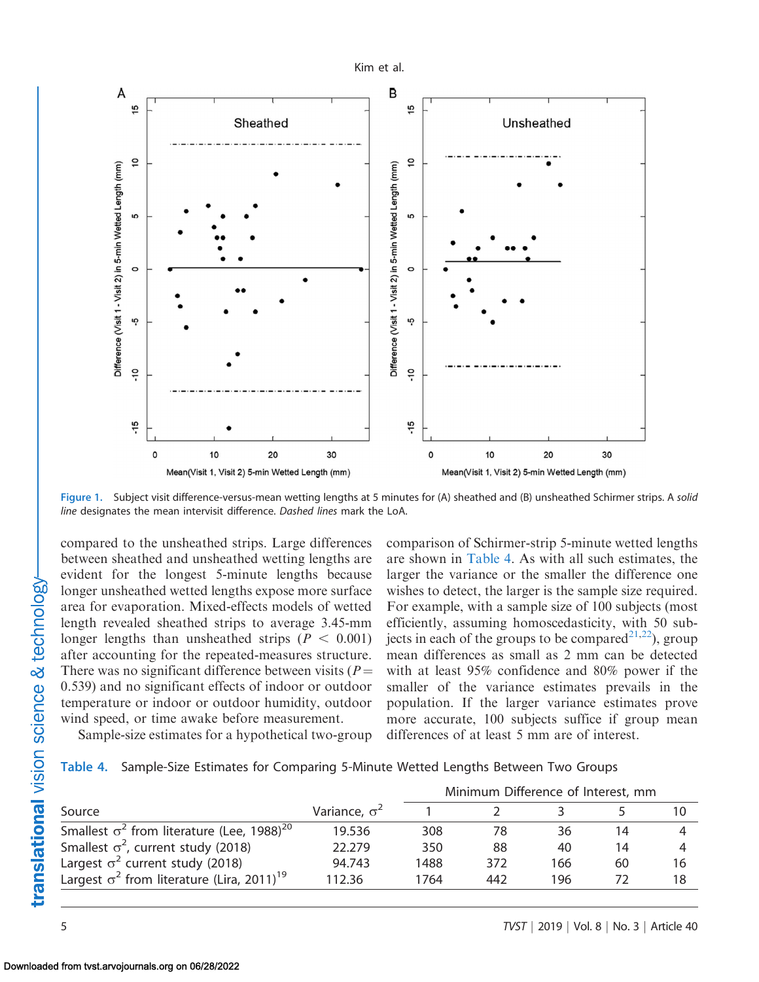<span id="page-4-0"></span>

Figure 1. Subject visit difference-versus-mean wetting lengths at 5 minutes for (A) sheathed and (B) unsheathed Schirmer strips. A solid line designates the mean intervisit difference. Dashed lines mark the LoA.

compared to the unsheathed strips. Large differences between sheathed and unsheathed wetting lengths are evident for the longest 5-minute lengths because longer unsheathed wetted lengths expose more surface area for evaporation. Mixed-effects models of wetted length revealed sheathed strips to average 3.45-mm longer lengths than unsheathed strips ( $P < 0.001$ ) after accounting for the repeated-measures structure. There was no significant difference between visits ( $P =$ 0.539) and no significant effects of indoor or outdoor temperature or indoor or outdoor humidity, outdoor wind speed, or time awake before measurement.

comparison of Schirmer-strip 5-minute wetted lengths are shown in Table 4. As with all such estimates, the larger the variance or the smaller the difference one wishes to detect, the larger is the sample size required. For example, with a sample size of 100 subjects (most efficiently, assuming homoscedasticity, with 50 subjects in each of the groups to be compared<sup>21,22</sup>), group mean differences as small as 2 mm can be detected with at least 95% confidence and 80% power if the smaller of the variance estimates prevails in the population. If the larger variance estimates prove more accurate, 100 subjects suffice if group mean differences of at least 5 mm are of interest.

Sample-size estimates for a hypothetical two-group

|  | Table 4. Sample-Size Estimates for Comparing 5-Minute Wetted Lengths Between Two Groups |  |  |  |  |  |  |  |  |
|--|-----------------------------------------------------------------------------------------|--|--|--|--|--|--|--|--|
|--|-----------------------------------------------------------------------------------------|--|--|--|--|--|--|--|--|

|                                                               |                      | Minimum Difference of Interest, mm |     |     |    |    |  |
|---------------------------------------------------------------|----------------------|------------------------------------|-----|-----|----|----|--|
| Source                                                        | Variance, $\sigma^2$ |                                    |     |     |    |    |  |
| Smallest $\sigma^2$ from literature (Lee, 1988) <sup>20</sup> | 19.536               | 308                                | 78  | 36  | 14 |    |  |
| Smallest $\sigma^2$ , current study (2018)                    | 22.279               | 350                                | 88  | 40  | 14 |    |  |
| Largest $\sigma^2$ current study (2018)                       | 94.743               | 1488                               | 372 | 166 | 60 | 16 |  |
| Largest $\sigma^2$ from literature (Lira, 2011) <sup>19</sup> | 112.36               | 1764                               | 442 | 196 |    | 18 |  |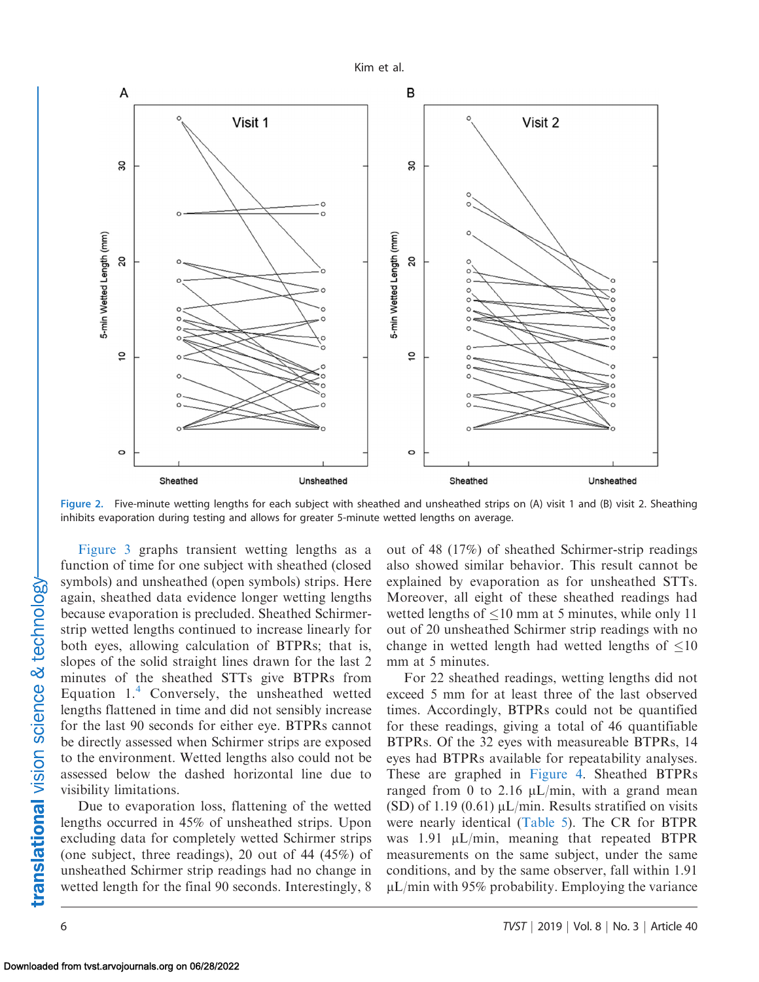Kim et al.

<span id="page-5-0"></span>

Figure 2. Five-minute wetting lengths for each subject with sheathed and unsheathed strips on (A) visit 1 and (B) visit 2. Sheathing inhibits evaporation during testing and allows for greater 5-minute wetted lengths on average.

[Figure 3](#page-6-0) graphs transient wetting lengths as a function of time for one subject with sheathed (closed symbols) and unsheathed (open symbols) strips. Here again, sheathed data evidence longer wetting lengths because evaporation is precluded. Sheathed Schirmerstrip wetted lengths continued to increase linearly for both eyes, allowing calculation of BTPRs; that is, slopes of the solid straight lines drawn for the last 2 minutes of the sheathed STTs give BTPRs from Equation  $1<sup>4</sup>$  $1<sup>4</sup>$  $1<sup>4</sup>$  Conversely, the unsheathed wetted lengths flattened in time and did not sensibly increase for the last 90 seconds for either eye. BTPRs cannot be directly assessed when Schirmer strips are exposed to the environment. Wetted lengths also could not be assessed below the dashed horizontal line due to visibility limitations.

Due to evaporation loss, flattening of the wetted lengths occurred in 45% of unsheathed strips. Upon excluding data for completely wetted Schirmer strips (one subject, three readings), 20 out of 44 (45%) of unsheathed Schirmer strip readings had no change in wetted length for the final 90 seconds. Interestingly, 8

out of 48 (17%) of sheathed Schirmer-strip readings also showed similar behavior. This result cannot be explained by evaporation as for unsheathed STTs. Moreover, all eight of these sheathed readings had wetted lengths of  $\leq 10$  mm at 5 minutes, while only 11 out of 20 unsheathed Schirmer strip readings with no change in wetted length had wetted lengths of  $\leq 10$ mm at 5 minutes.

For 22 sheathed readings, wetting lengths did not exceed 5 mm for at least three of the last observed times. Accordingly, BTPRs could not be quantified for these readings, giving a total of 46 quantifiable BTPRs. Of the 32 eyes with measureable BTPRs, 14 eyes had BTPRs available for repeatability analyses. These are graphed in [Figure 4](#page-6-0). Sheathed BTPRs ranged from 0 to 2.16  $\mu L/min$ , with a grand mean (SD) of 1.19 (0.61)  $\mu L/min$ . Results stratified on visits were nearly identical [\(Table 5](#page-6-0)). The CR for BTPR was  $1.91 \mu L/min$ , meaning that repeated BTPR measurements on the same subject, under the same conditions, and by the same observer, fall within 1.91  $\mu$ L/min with 95% probability. Employing the variance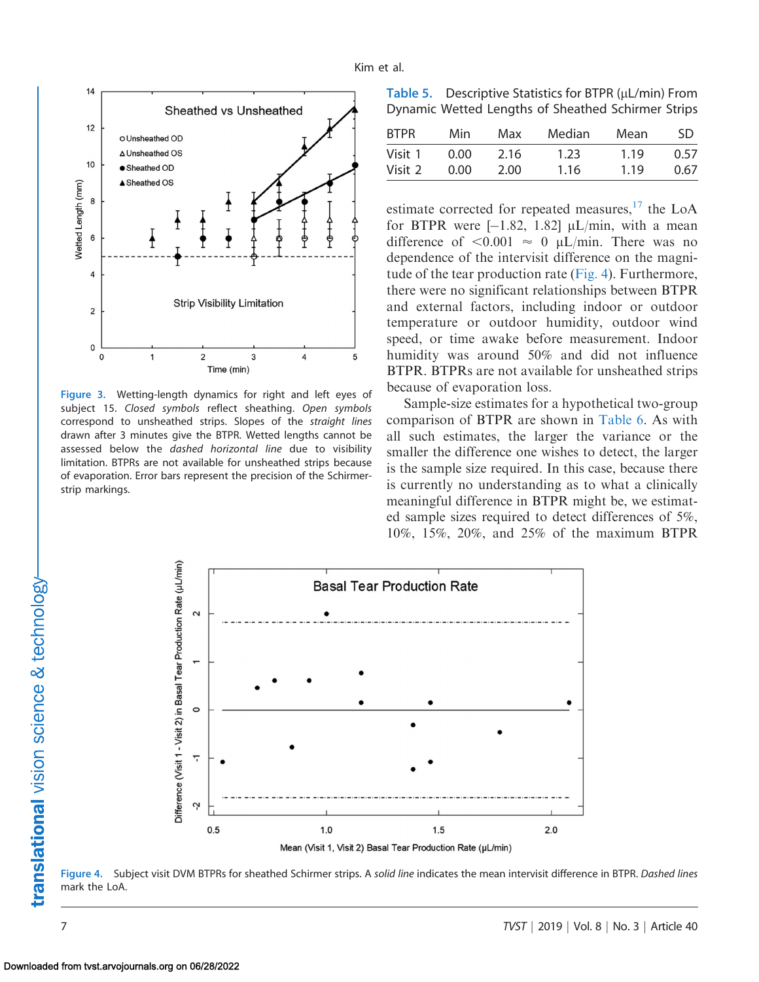<span id="page-6-0"></span>

Figure 3. Wetting-length dynamics for right and left eyes of subject 15. Closed symbols reflect sheathing. Open symbols correspond to unsheathed strips. Slopes of the straight lines drawn after 3 minutes give the BTPR. Wetted lengths cannot be assessed below the dashed horizontal line due to visibility limitation. BTPRs are not available for unsheathed strips because of evaporation. Error bars represent the precision of the Schirmerstrip markings.

Table 5. Descriptive Statistics for BTPR  $(\mu L/min)$  From Dynamic Wetted Lengths of Sheathed Schirmer Strips

| 2.16 | 1.23 | 1.19 | 0.57 |
|------|------|------|------|
| 2.00 | 1.16 | 1.19 | 0.67 |
|      |      |      |      |

estimate corrected for repeated measures, $^{17}$  the LoA for BTPR were  $[-1.82, 1.82] \mu L/min$ , with a mean difference of  $\leq 0.001 \approx 0$  µL/min. There was no dependence of the intervisit difference on the magnitude of the tear production rate (Fig. 4). Furthermore, there were no significant relationships between BTPR and external factors, including indoor or outdoor temperature or outdoor humidity, outdoor wind speed, or time awake before measurement. Indoor humidity was around 50% and did not influence BTPR. BTPRs are not available for unsheathed strips because of evaporation loss.

Sample-size estimates for a hypothetical two-group comparison of BTPR are shown in [Table 6](#page-7-0). As with all such estimates, the larger the variance or the smaller the difference one wishes to detect, the larger is the sample size required. In this case, because there is currently no understanding as to what a clinically meaningful difference in BTPR might be, we estimated sample sizes required to detect differences of 5%, 10%, 15%, 20%, and 25% of the maximum BTPR



Figure 4. Subject visit DVM BTPRs for sheathed Schirmer strips. A solid line indicates the mean intervisit difference in BTPR. Dashed lines mark the LoA.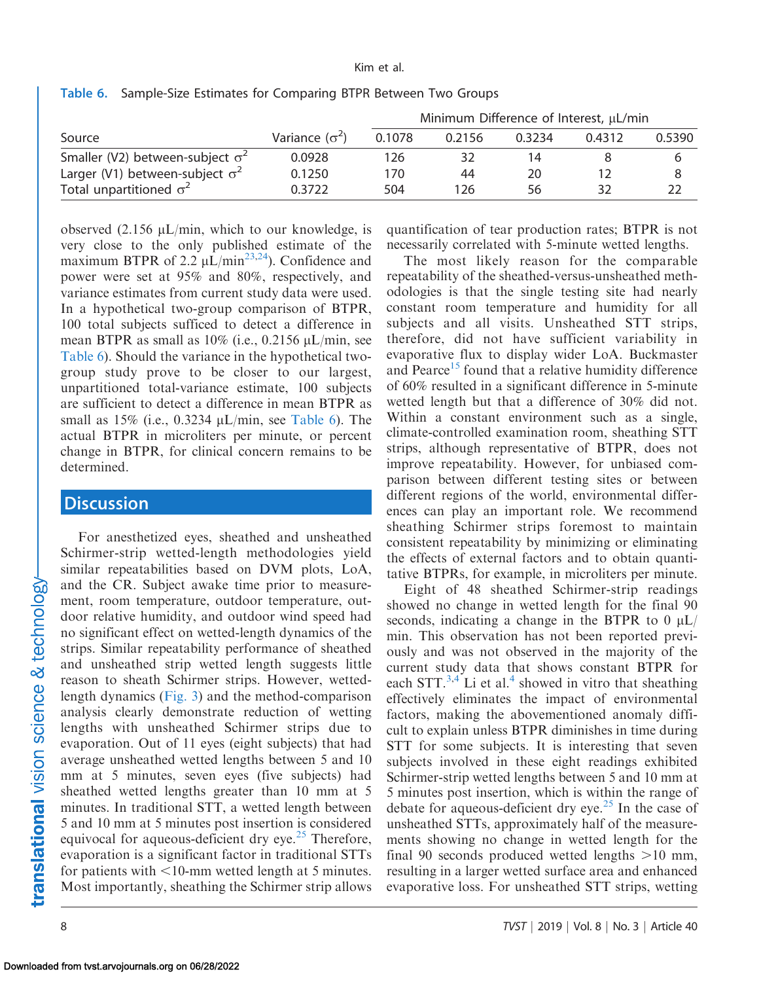|                                         |                       |        | Minimum Difference of Interest, µL/min |        |        |        |
|-----------------------------------------|-----------------------|--------|----------------------------------------|--------|--------|--------|
| Source                                  | Variance $(\sigma^2)$ | 0.1078 | 0.2156                                 | 0.3234 | 0.4312 | 0.5390 |
| Smaller (V2) between-subject $\sigma^2$ | 0.0928                | 126    | 32                                     | 14     |        |        |
| Larger (V1) between-subject $\sigma^2$  | 0.1250                | 170    | 44                                     | 20     |        |        |
| Total unpartitioned $\sigma^2$          | 0.3722                | 504    | 126                                    | 56     | 32     |        |

<span id="page-7-0"></span>Table 6. Sample-Size Estimates for Comparing BTPR Between Two Groups

observed  $(2.156 \mu L/min$ , which to our knowledge, is very close to the only published estimate of the maximum BTPR of 2.2  $\mu L/min^{23,24}$  $\mu L/min^{23,24}$  $\mu L/min^{23,24}$ ). Confidence and power were set at 95% and 80%, respectively, and variance estimates from current study data were used. In a hypothetical two-group comparison of BTPR, 100 total subjects sufficed to detect a difference in mean BTPR as small as  $10\%$  (i.e., 0.2156  $\mu$ L/min, see Table 6). Should the variance in the hypothetical twogroup study prove to be closer to our largest, unpartitioned total-variance estimate, 100 subjects are sufficient to detect a difference in mean BTPR as small as  $15\%$  (i.e., 0.3234  $\mu L/min$ , see Table 6). The actual BTPR in microliters per minute, or percent change in BTPR, for clinical concern remains to be determined.

### **Discussion**

For anesthetized eyes, sheathed and unsheathed Schirmer-strip wetted-length methodologies yield similar repeatabilities based on DVM plots, LoA, and the CR. Subject awake time prior to measurement, room temperature, outdoor temperature, outdoor relative humidity, and outdoor wind speed had no significant effect on wetted-length dynamics of the strips. Similar repeatability performance of sheathed and unsheathed strip wetted length suggests little reason to sheath Schirmer strips. However, wettedlength dynamics [\(Fig. 3\)](#page-6-0) and the method-comparison analysis clearly demonstrate reduction of wetting lengths with unsheathed Schirmer strips due to evaporation. Out of 11 eyes (eight subjects) that had average unsheathed wetted lengths between 5 and 10 mm at 5 minutes, seven eyes (five subjects) had sheathed wetted lengths greater than 10 mm at 5 minutes. In traditional STT, a wetted length between 5 and 10 mm at 5 minutes post insertion is considered equivocal for aqueous-deficient dry eye.<sup>[25](#page-9-0)</sup> Therefore, evaporation is a significant factor in traditional STTs for patients with  $\leq 10$ -mm wetted length at 5 minutes. Most importantly, sheathing the Schirmer strip allows quantification of tear production rates; BTPR is not necessarily correlated with 5-minute wetted lengths.

The most likely reason for the comparable repeatability of the sheathed-versus-unsheathed methodologies is that the single testing site had nearly constant room temperature and humidity for all subjects and all visits. Unsheathed STT strips, therefore, did not have sufficient variability in evaporative flux to display wider LoA. Buckmaster and Pearce<sup>15</sup> found that a relative humidity difference of 60% resulted in a significant difference in 5-minute wetted length but that a difference of 30% did not. Within a constant environment such as a single, climate-controlled examination room, sheathing STT strips, although representative of BTPR, does not improve repeatability. However, for unbiased comparison between different testing sites or between different regions of the world, environmental differences can play an important role. We recommend sheathing Schirmer strips foremost to maintain consistent repeatability by minimizing or eliminating the effects of external factors and to obtain quantitative BTPRs, for example, in microliters per minute.

Eight of 48 sheathed Schirmer-strip readings showed no change in wetted length for the final 90 seconds, indicating a change in the BTPR to  $0 \mu L$ min. This observation has not been reported previously and was not observed in the majority of the current study data that shows constant BTPR for each STT.<sup>3,4</sup> Li et al.<sup>4</sup> showed in vitro that sheathing effectively eliminates the impact of environmental factors, making the abovementioned anomaly difficult to explain unless BTPR diminishes in time during STT for some subjects. It is interesting that seven subjects involved in these eight readings exhibited Schirmer-strip wetted lengths between 5 and 10 mm at 5 minutes post insertion, which is within the range of debate for aqueous-deficient dry eye.<sup>[25](#page-9-0)</sup> In the case of unsheathed STTs, approximately half of the measurements showing no change in wetted length for the final 90 seconds produced wetted lengths  $>10$  mm, resulting in a larger wetted surface area and enhanced evaporative loss. For unsheathed STT strips, wetting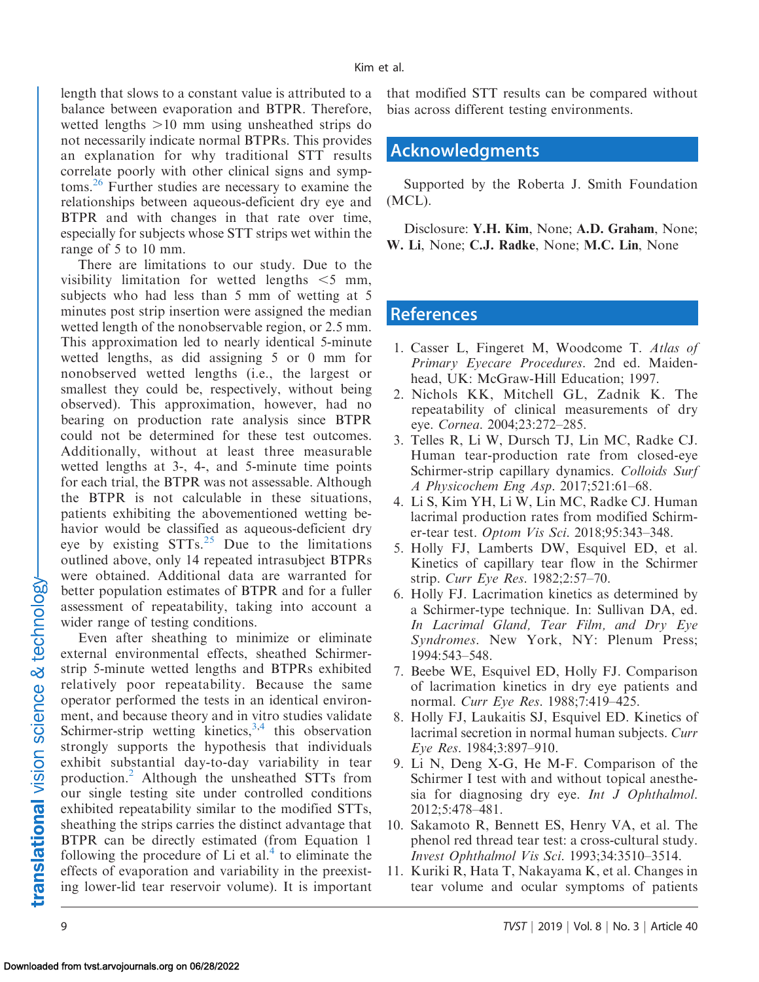<span id="page-8-0"></span>length that slows to a constant value is attributed to a balance between evaporation and BTPR. Therefore, wetted lengths  $>10$  mm using unsheathed strips do not necessarily indicate normal BTPRs. This provides an explanation for why traditional STT results correlate poorly with other clinical signs and symptoms.[26](#page-9-0) Further studies are necessary to examine the relationships between aqueous-deficient dry eye and BTPR and with changes in that rate over time, especially for subjects whose STT strips wet within the range of 5 to 10 mm.

There are limitations to our study. Due to the visibility limitation for wetted lengths  $\leq 5$  mm, subjects who had less than 5 mm of wetting at 5 minutes post strip insertion were assigned the median wetted length of the nonobservable region, or 2.5 mm. This approximation led to nearly identical 5-minute wetted lengths, as did assigning 5 or 0 mm for nonobserved wetted lengths (i.e., the largest or smallest they could be, respectively, without being observed). This approximation, however, had no bearing on production rate analysis since BTPR could not be determined for these test outcomes. Additionally, without at least three measurable wetted lengths at 3-, 4-, and 5-minute time points for each trial, the BTPR was not assessable. Although the BTPR is not calculable in these situations, patients exhibiting the abovementioned wetting behavior would be classified as aqueous-deficient dry eye by existing  $STTs^{25}$  $STTs^{25}$  $STTs^{25}$  Due to the limitations outlined above, only 14 repeated intrasubject BTPRs were obtained. Additional data are warranted for better population estimates of BTPR and for a fuller assessment of repeatability, taking into account a wider range of testing conditions.

Even after sheathing to minimize or eliminate external environmental effects, sheathed Schirmerstrip 5-minute wetted lengths and BTPRs exhibited relatively poor repeatability. Because the same operator performed the tests in an identical environment, and because theory and in vitro studies validate Schirmer-strip wetting kinetics,  $3,4$  this observation strongly supports the hypothesis that individuals exhibit substantial day-to-day variability in tear production.2 Although the unsheathed STTs from our single testing site under controlled conditions exhibited repeatability similar to the modified STTs, sheathing the strips carries the distinct advantage that BTPR can be directly estimated (from Equation 1 following the procedure of Li et al.<sup>4</sup> to eliminate the effects of evaporation and variability in the preexisting lower-lid tear reservoir volume). It is important

that modified STT results can be compared without bias across different testing environments.

#### Acknowledgments

Supported by the Roberta J. Smith Foundation (MCL).

Disclosure: Y.H. Kim, None; A.D. Graham, None; W. Li, None; C.J. Radke, None; M.C. Lin, None

#### References

- 1. Casser L, Fingeret M, Woodcome T. Atlas of Primary Eyecare Procedures. 2nd ed. Maidenhead, UK: McGraw-Hill Education; 1997.
- 2. Nichols KK, Mitchell GL, Zadnik K. The repeatability of clinical measurements of dry eye. Cornea. 2004;23:272–285.
- 3. Telles R, Li W, Dursch TJ, Lin MC, Radke CJ. Human tear-production rate from closed-eye Schirmer-strip capillary dynamics. Colloids Surf A Physicochem Eng Asp. 2017;521:61–68.
- 4. Li S, Kim YH, Li W, Lin MC, Radke CJ. Human lacrimal production rates from modified Schirmer-tear test. Optom Vis Sci. 2018;95:343–348.
- 5. Holly FJ, Lamberts DW, Esquivel ED, et al. Kinetics of capillary tear flow in the Schirmer strip. Curr Eye Res. 1982;2:57–70.
- 6. Holly FJ. Lacrimation kinetics as determined by a Schirmer-type technique. In: Sullivan DA, ed. In Lacrimal Gland, Tear Film, and Dry Eye Syndromes. New York, NY: Plenum Press; 1994:543–548.
- 7. Beebe WE, Esquivel ED, Holly FJ. Comparison of lacrimation kinetics in dry eye patients and normal. Curr Eye Res. 1988;7:419–425.
- 8. Holly FJ, Laukaitis SJ, Esquivel ED. Kinetics of lacrimal secretion in normal human subjects. Curr Eye Res. 1984;3:897–910.
- 9. Li N, Deng X-G, He M-F. Comparison of the Schirmer I test with and without topical anesthesia for diagnosing dry eye. Int J Ophthalmol. 2012;5:478–481.
- 10. Sakamoto R, Bennett ES, Henry VA, et al. The phenol red thread tear test: a cross-cultural study. Invest Ophthalmol Vis Sci. 1993;34:3510–3514.
- 11. Kuriki R, Hata T, Nakayama K, et al. Changes in tear volume and ocular symptoms of patients